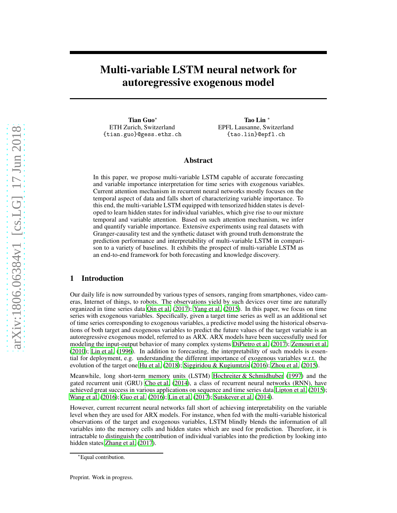# Multi-variable LSTM neural network for autoregressive exogenous model

Tian Guo<sup>∗</sup> ETH Zurich, Switzerland {tian.guo}@gess.ethz.ch

Tao Lin <sup>∗</sup> EPFL Lausanne, Switzerland {tao.lin}@epfl.ch

## Abstract

In this paper, we propose multi-variable LSTM capable of accurate forecasting and variable importance interpretation for time series with exogenous variables. Current attention mechanism in recurrent neural networks mostly focuses on the temporal aspect of data and falls short of characterizing variable importance. To this end, the multi-variable LSTM equipped with tensorized hidden states is developed to learn hidden states for individual variables, which give rise to our mixture temporal and variable attention. Based on such attention mechanism, we infer and quantify variable importance. Extensive experiments using real datasets with Granger-causality test and the synthetic dataset with ground truth demonstrate the prediction performance and interpretability of multi-variable LSTM in comparison to a variety of baselines. It exhibits the prospect of multi-variable LSTM as an end-to-end framework for both forecasting and knowledge discovery.

# 1 Introduction

Our daily life is now surrounded by various types of sensors, ranging from smartphones, video cameras, Internet of things, to robots. The observations yield by such devices over time are naturally organized in time series data [Qin et al. \(2017\)](#page-10-0); [Yang et al.](#page-11-0) [\(2015\)](#page-11-0). In this paper, we focus on time series with exogenous variables. Specifically, given a target time series as well as an additional set of time series corresponding to exogenous variables, a predictive model using the historical observations of both target and exogenous variables to predict the future values of the target variable is an autoregressive exogenous model, referred to as ARX. ARX models have been successfully used for modeling the input-output behavior of many complex systems [DiPietro et al. \(2017\)](#page-9-0); [Zemouri et al.](#page-11-1) [\(2010\)](#page-11-1); [Lin et al. \(1996](#page-10-1)). In addition to forecasting, the interpretability of such models is essential for deployment, e.g. understanding the different importance of exogenous variables w.r.t. the evolution of the target one [Hu et al. \(2018\)](#page-9-1); [Siggiridou & Kugiumtzis \(2016\)](#page-10-2); [Zhou et al.](#page-11-2) [\(2015\)](#page-11-2).

Meanwhile, long short-term memory units (LSTM) Hochreiter [& Schmidhuber \(1997\)](#page-9-2) and the gated recurrent unit (GRU) [Cho et al. \(2014](#page-8-0)), a class of recurrent neural networks (RNN), have achieved great success in various applications on sequence and time series data [Lipton et al.](#page-10-3) [\(2015\)](#page-10-3); [Wang et al. \(2016](#page-11-3)); [Guo et al.](#page-9-3) [\(2016\)](#page-9-3); [Lin et al.](#page-10-4) [\(2017\)](#page-10-4); [Sutskever et al. \(2014\)](#page-10-5).

However, current recurrent neural networks fall short of achieving interpretability on the variable level when they are used for ARX models. For instance, when fed with the multi-variable historical observations of the target and exogenous variables, LSTM blindly blends the information of all variables into the memory cells and hidden states which are used for prediction. Therefore, it is intractable to distinguish the contribution of individual variables into the prediction by looking into hidden states [Zhang et al. \(2017\)](#page-11-4).

<sup>∗</sup>Equal contribution.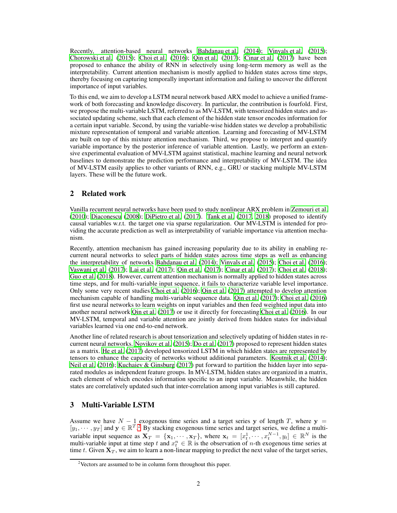Recently, attention-based neural networks [Bahdanau et al.](#page-8-1) [\(2014](#page-8-1)); [Vinyals et al.](#page-10-6) [\(2015\)](#page-10-6); Chorowski et al.  $(2015)$ ; Choi et al.  $(2016)$ ; Qin et al.  $(2017)$ ; Cinar et al.  $(2017)$  have been proposed to enhance the ability of RNN in selectively using long-term memory as well as the interpretability. Current attention mechanism is mostly applied to hidden states across time steps, thereby focusing on capturing temporally important information and failing to uncover the different importance of input variables.

To this end, we aim to develop a LSTM neural network based ARX model to achieve a unified framework of both forecasting and knowledge discovery. In particular, the contribution is fourfold. First, we propose the multi-variable LSTM, referred to as MV-LSTM, with tensorized hidden states and associated updating scheme, such that each element of the hidden state tensor encodes information for a certain input variable. Second, by using the variable-wise hidden states we develop a probabilistic mixture representation of temporal and variable attention. Learning and forecasting of MV-LSTM are built on top of this mixture attention mechanism. Third, we propose to interpret and quantify variable importance by the posterior inference of variable attention. Lastly, we perform an extensive experimental evaluation of MV-LSTM against statistical, machine learning and neural network baselines to demonstrate the prediction performance and interpretability of MV-LSTM. The idea of MV-LSTM easily applies to other variants of RNN, e.g., GRU or stacking multiple MV-LSTM layers. These will be the future work.

# 2 Related work

Vanilla recurrent neural networks have been used to study nonlinear ARX problem in [Zemouri et al.](#page-11-1) [\(2010\)](#page-11-1); [Diaconescu \(2008\)](#page-9-5); [DiPietro et al. \(2017\)](#page-9-0). [Tank et al. \(2017](#page-10-7), [2018\)](#page-10-8) proposed to identify causal variables w.r.t. the target one via sparse regularization. Our MV-LSTM is intended for providing the accurate prediction as well as interpretability of variable importance via attention mechanism.

Recently, attention mechanism has gained increasing popularity due to its ability in enabling recurrent neural networks to select parts of hidden states across time steps as well as enhancing the interpretability of networks [Bahdanau et al. \(2014\)](#page-8-1); [Vinyals et al. \(2015\)](#page-10-6); [Choi et al.](#page-8-3) [\(2016\)](#page-8-3); [Vaswani et al.](#page-10-9) [\(2017\)](#page-10-9); [Lai et al.](#page-9-6) [\(2017\)](#page-9-6); [Qin et al. \(2017](#page-10-0)); [Cinar et al.](#page-9-4) [\(2017\)](#page-9-4); [Choi et al.](#page-8-4) [\(2018\)](#page-8-4); [Guo et al.](#page-9-7) [\(2018\)](#page-9-7). However, current attention mechanism is normally applied to hidden states across time steps, and for multi-variable input sequence, it fails to characterize variable level importance. Only some very recent studies [Choi et al. \(2016\)](#page-8-3); [Qin et al. \(2017\)](#page-10-0) attempted to develop attention mechanism capable of handling multi-variable sequence data. [Qin et al. \(2017\)](#page-10-0); [Choi et al. \(2016\)](#page-8-3) first use neural networks to learn weights on input variables and then feed weighted input data into another neural network [Qin et al.](#page-10-0) [\(2017\)](#page-10-0) or use it directly for forecasting [Choi et al. \(2016](#page-8-3)). In our MV-LSTM, temporal and variable attention are jointly derived from hidden states for individual variables learned via one end-to-end network.

Another line of related research is about tensorization and selectively updating of hidden states in recurrent neural networks. [Novikov et al. \(2015](#page-10-10)); [Do et al. \(2017\)](#page-9-8) proposed to represent hidden states as a matrix. [He et al. \(2017\)](#page-9-9) developed tensorized LSTM in which hidden states are represented by tensors to enhance the capacity of networks without additional parameters. [Koutnik et al.](#page-9-10) [\(2014\)](#page-9-10); [Neil et al. \(2016](#page-10-11)); [Kuchaiev & Ginsburg \(2017\)](#page-9-11) put forward to partition the hidden layer into separated modules as independent feature groups. In MV-LSTM, hidden states are organized in a matrix, each element of which encodes information specific to an input variable. Meanwhile, the hidden states are correlatively updated such that inter-correlation among input variables is still captured.

## <span id="page-1-1"></span>3 Multi-Variable LSTM

Assume we have  $N - 1$  exogenous time series and a target series y of length T, where  $y =$  $[y_1, \dots, y_T]$  and  $y \in \mathbb{R}^T$ . By stacking exogenous time series and target series, we define a multivariable input sequence as  $\mathbf{X}_T = \{ \mathbf{x}_1, \cdots, \mathbf{x}_T \}$ , where  $\mathbf{x}_t = [x_t^1, \cdots, x_t^{N-1}, y_t] \in \mathbb{R}^N$  is the multi-variable input at time step t and  $x_t^n \in \mathbb{R}$  is the observation of n-th exogenous time series at time t. Given  $X_T$ , we aim to learn a non-linear mapping to predict the next value of the target series,

<span id="page-1-0"></span> $2$ Vectors are assumed to be in column form throughout this paper.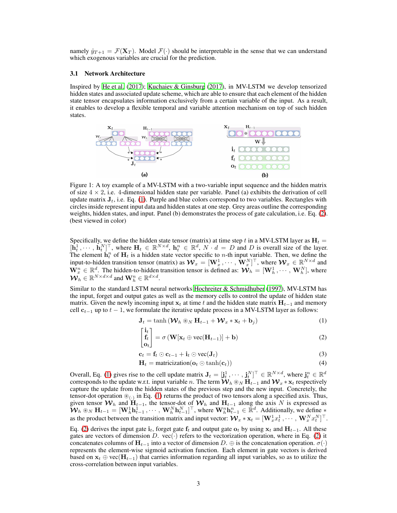namely  $\hat{y}_{T+1} = \mathcal{F}(\mathbf{X}_T)$ . Model  $\mathcal{F}(\cdot)$  should be interpretable in the sense that we can understand which exogenous variables are crucial for the prediction.

#### 3.1 Network Architecture

Inspired by [He et al.](#page-9-9) [\(2017\)](#page-9-9); [Kuchaiev & Ginsburg](#page-9-11) [\(2017\)](#page-9-11), in MV-LSTM we develop tensorized hidden states and associated update scheme, which are able to ensure that each element of the hidden state tensor encapsulates information exclusively from a certain variable of the input. As a result, it enables to develop a flexible temporal and variable attention mechanism on top of such hidden states.



Figure 1: A toy example of a MV-LSTM with a two-variable input sequence and the hidden matrix of size  $4 \times 2$ , i.e. 4-dimensional hidden state per variable. Panel (a) exhibits the derivation of cell update matrix  $J_t$ , i.e. Eq. [\(1\)](#page-2-0). Purple and blue colors correspond to two variables. Rectangles with circles inside represent input data and hidden states at one step. Grey areas outline the corresponding weights, hidden states, and input. Panel (b) demonstrates the process of gate calculation, i.e. Eq. [\(2\)](#page-2-1). (best viewed in color)

Specifically, we define the hidden state tensor (matrix) at time step t in a MV-LSTM layer as  $H_t =$  $[\mathbf{h}_t^1, \dots, \mathbf{h}_t^N]^\top$ , where  $\mathbf{H}_t \in \mathbb{R}^{N \times d}$ ,  $\mathbf{h}_t^n \in \mathbb{R}^d$ ,  $N \cdot d = D$  and D is overall size of the layer. The element  $\mathbf{h}_t^n$  of  $\mathbf{H}_t$  is a hidden state vector specific to *n*-th input variable. Then, we define the input-to-hidden transition tensor (matrix) as  $\mathcal{W}_x = [\mathbf{W}_x^1, \cdots, \mathbf{W}_x^N]^\top$ , where  $\mathcal{W}_x \in \mathbb{R}^{N \times d}$  and  $\mathbf{W}_x^n \in \mathbb{R}^d$ . The hidden-to-hidden transition tensor is defined as:  $\mathbf{W}_h = [\mathbf{W}_h^1, \cdots, \mathbf{W}_h^N]$ , where  $\mathcal{W}_h \in \mathbb{R}^{N \times d \times d}$  and  $\mathbf{W}_h^n \in \mathbb{R}^{d \times d}$ .

Similar to the standard LSTM neural networks [Hochreiter & Schmidhuber \(1997](#page-9-2)), MV-LSTM has the input, forget and output gates as well as the memory cells to control the update of hidden state matrix. Given the newly incoming input  $x_t$  at time t and the hidden state matrix  $H_{t-1}$  and memory cell  $c_{t-1}$  up to  $t-1$ , we formulate the iterative update process in a MV-LSTM layer as follows:

$$
\mathbf{J}_t = \tanh\left(\mathbf{W}_h \circledast_N \mathbf{H}_{t-1} + \mathbf{W}_x * \mathbf{x}_t + \mathbf{b}_j\right) \tag{1}
$$

<span id="page-2-2"></span><span id="page-2-1"></span><span id="page-2-0"></span>
$$
\begin{bmatrix} \mathbf{i}_t \\ \mathbf{f}_t \\ \mathbf{o}_t \end{bmatrix} = \sigma \left( \mathbf{W}[\mathbf{x}_t \oplus \text{vec}(\mathbf{H}_{t-1})] + \mathbf{b} \right)
$$
(2)

$$
\mathbf{c}_t = \mathbf{f}_t \odot \mathbf{c}_{t-1} + \mathbf{i}_t \odot \text{vec}(\mathbf{J}_t)
$$
 (3)

<span id="page-2-3"></span>
$$
\mathbf{H}_t = \text{matricization}(\mathbf{o}_t \odot \tanh(\mathbf{c}_t))
$$
\n(4)

Overall, Eq. [\(1\)](#page-2-0) gives rise to the cell update matrix  $J_t = [\mathbf{j}_t^1, \cdots, \mathbf{j}_t^N]^\top \in \mathbb{R}^{N \times d}$ , where  $\mathbf{j}_t^n \in \mathbb{R}^d$ corresponds to the update w.r.t. input variable n. The term  $\hat{W}_h \otimes_N \tilde{H}_{t-1}$  and  $W_x * x_t$  respectively capture the update from the hidden states of the previous step and the new input. Concretely, the tensor-dot operation  $\circledast_{(\cdot)}$  in Eq. [\(1\)](#page-2-0) returns the product of two tensors along a specified axis. Thus, given tensor  $W_h$  and  $H_{t-1}$ , the tensor-dot of  $W_h$  and  $H_{t-1}$  along the axis N is expressed as  $W_h \otimes_N \mathbf{H}_{t-1} = [\mathbf{W}_h^1 \mathbf{h}_{t-1}^1, \cdots, \mathbf{W}_h^N \mathbf{h}_{t-1}^N]^\top$ , where  $\mathbf{W}_h^n \mathbf{h}_{t-1}^n \in \mathbb{R}^d$ . Additionally, we define  $*$ as the product between the transition matrix and input vector:  $\mathcal{W}_x * \mathbf{x}_t = [\mathbf{W}_x^1 x_t^1, \cdots, \mathbf{W}_x^N x_t^N]^{\top}$ .

Eq. [\(2\)](#page-2-1) derives the input gate  $i_t$ , forget gate  $f_t$  and output gate  $o_t$  by using  $x_t$  and  $H_{t-1}$ . All these gates are vectors of dimension D. vec $(\cdot)$  refers to the vectorization operation, where in Eq. [\(2\)](#page-2-1) it concatenates columns of  $\mathbf{H}_{t-1}$  into a vector of dimension D.  $\oplus$  is the concatenation operation.  $\sigma(\cdot)$ represents the element-wise sigmoid activation function. Each element in gate vectors is derived based on  $x_t \oplus$  vec( $H_{t-1}$ ) that carries information regarding all input variables, so as to utilize the cross-correlation between input variables.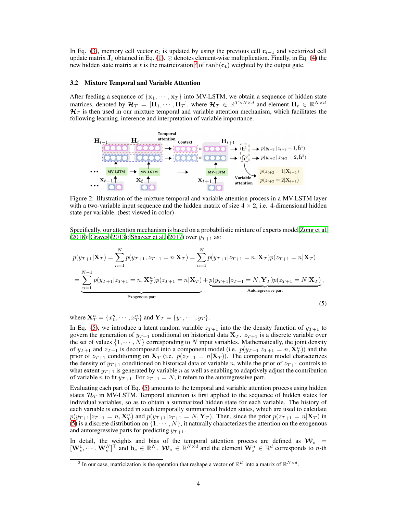In Eq. [\(3\)](#page-2-2), memory cell vector  $c_t$  is updated by using the previous cell  $c_{t-1}$  and vectorized cell update matrix  $J_t$  obtained in Eq. [\(1\)](#page-2-0). ⊙ denotes element-wise multiplication. Finally, in Eq. [\(4\)](#page-2-3) the new hidden state matrix at t is the matricization  $\delta$  of tanh( $c_t$ ) weighted by the output gate.

#### 3.2 Mixture Temporal and Variable Attention

After feeding a sequence of  $\{x_1, \dots, x_T\}$  into MV-LSTM, we obtain a sequence of hidden state matrices, denoted by  $\mathcal{H}_T = [\mathbf{H}_1, \cdots, \mathbf{H}_T]$ , where  $\mathcal{H}_T \in \mathbb{R}^{T \times N \times d}$  and element  $\mathbf{H}_t \in \mathbb{R}^{N \times d}$ .  $\mathcal{H}_T$  is then used in our mixture temporal and variable attention mechanism, which facilitates the following learning, inference and interpretation of variable importance.



Figure 2: Illustration of the mixture temporal and variable attention process in a MV-LSTM layer with a two-variable input sequence and the hidden matrix of size  $4 \times 2$ , i.e. 4-dimensional hidden state per variable. (best viewed in color)

Specifically, our attention mechanism is based on a probabilistic mixture of experts model [Zong et al.](#page-11-5) [\(2018\)](#page-11-5); [Graves \(2013](#page-9-12)); [Shazeer et al. \(2017\)](#page-10-12) over  $y_{T+1}$  as:

$$
p(y_{T+1}|\mathbf{X}_T) = \sum_{n=1}^{N} p(y_{T+1}, z_{T+1} = n|\mathbf{X}_T) = \sum_{n=1}^{N} p(y_{T+1}|z_{T+1} = n, \mathbf{X}_T)p(z_{T+1} = n|\mathbf{X}_T)
$$
  
= 
$$
\sum_{n=1}^{N-1} p(y_{T+1}|z_{T+1} = n, \mathbf{X}_T^n)p(z_{T+1} = n|\mathbf{X}_T) + \underbrace{p(y_{T+1}|z_{T+1} = N, \mathbf{Y}_T)p(z_{T+1} = N|\mathbf{X}_T)}_{\text{Exogenous part}},
$$
 (5)

<span id="page-3-1"></span>where  $\mathbf{X}_T^n = \{x_1^n, \cdots, x_T^n\}$  and  $\mathbf{Y}_T = \{y_1, \cdots, y_T\}$ .

In Eq. [\(5\)](#page-3-1), we introduce a latent random variable  $z_{T+1}$  into the the density function of  $y_{T+1}$  to govern the generation of  $y_{T+1}$  conditional on historical data  $X_T$ .  $z_{T+1}$  is a discrete variable over the set of values  $\{1, \dots, N\}$  corresponding to N input variables. Mathematically, the joint density of  $y_{T+1}$  and  $z_{T+1}$  is decomposed into a component model (i.e.  $p(y_{T+1}|z_{T+1} = n, \mathbf{X}_T^n)$ ) and the prior of  $z_{T+1}$  conditioning on  $\mathbf{X}_T$  (i.e.  $p(z_{T+1} = n|\mathbf{X}_T)$ ). The component model characterizes the density of  $y_{T+1}$  conditioned on historical data of variable n, while the prior of  $z_{T+1}$  controls to what extent  $y_{T+1}$  is generated by variable n as well as enabling to adaptively adjust the contribution of variable *n* to fit  $y_{T+1}$ . For  $z_{T+1} = N$ , it refers to the autoregressive part.

Evaluating each part of Eq. [\(5\)](#page-3-1) amounts to the temporal and variable attention process using hidden states  $\mathcal{H}_T$  in MV-LSTM. Temporal attention is first applied to the sequence of hidden states for individual variables, so as to obtain a summarized hidden state for each variable. The history of each variable is encoded in such temporally summarized hidden states, which are used to calculate  $p(y_{T+1}|z_{T+1} = n, \mathbf{X}_T^n)$  and  $p(y_{T+1}|z_{T+1} = N, \mathbf{Y}_T)$ . Then, since the prior  $p(z_{T+1} = n|\mathbf{X}_T)$  in [\(5\)](#page-3-1) is a discrete distribution on  $\{1, \cdots, N\}$ , it naturally characterizes the attention on the exogenous and autoregressive parts for predicting  $y_{T+1}$ .

In detail, the weights and bias of the temporal attention process are defined as  $W_s$  =  $[\mathbf{W}_s^1, \cdots, \mathbf{W}_s^N]^\top$  and  $\mathbf{b}_s \in \mathbb{R}^N$ .  $\mathcal{W}_s \in \mathbb{R}^{N \times d}$  and the element  $\mathbf{W}_s^n \in \mathbb{R}^d$  corresponds to n-th

<span id="page-3-0"></span><sup>&</sup>lt;sup>3</sup> In our case, matricization is the operation that reshape a vector of  $\mathbb{R}^D$  into a matrix of  $\mathbb{R}^{N \times d}$ .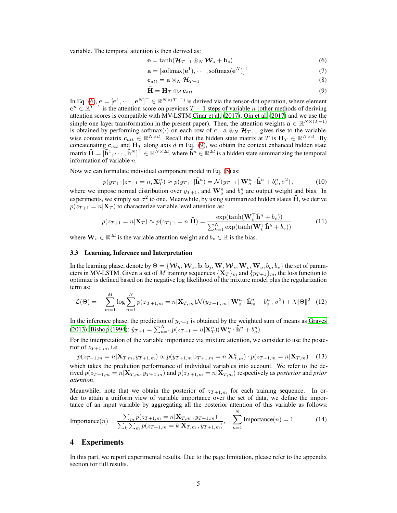variable. The temporal attention is then derived as:

$$
\mathbf{e} = \tanh(\mathcal{H}_{T-1} \circledast_N \mathcal{W}_s + \mathbf{b}_s) \tag{6}
$$

<span id="page-4-0"></span>
$$
\mathbf{a} = [\text{softmax}(\mathbf{e}^1), \cdots, \text{softmax}(\mathbf{e}^N)]^\top
$$
 (7)

$$
\mathbf{c}_{att} = \mathbf{a} \circledast_N \mathcal{H}_{T-1} \tag{8}
$$

<span id="page-4-1"></span>
$$
\tilde{\mathbf{H}} = \mathbf{H}_T \oplus_d \mathbf{c}_{att} \tag{9}
$$

In Eq. [\(6\)](#page-4-0),  $\mathbf{e} = [\mathbf{e}^1, \dots, \mathbf{e}^N]^\top \in \mathbb{R}^{N \times (T-1)}$  is derived via the tensor-dot operation, where element  $e^{n} \in \mathbb{R}^{T-1}$  is the attention score on previous  $T-1$  steps of variable n (other methods of deriving attention scores is compatible with MV-LSTM [Cinar et al. \(2017](#page-9-4)); [Qin et al.](#page-10-0) [\(2017\)](#page-10-0) and we use the simple one layer transformation in the present paper). Then, the attention weights  $\mathbf{a} \in \mathbb{R}^{N \times (T-1)}$ is obtained by performing softmax(·) on each row of e. a  $\mathcal{B}_N$   $\mathcal{H}_{T-1}$  gives rise to the variablewise context matrix  $c_{att} \in \mathbb{R}^{N \times d}$ . Recall that the hidden state matrix at T is  $H_T \in \mathbb{R}^{N \times d}$ . By concatenating  $c_{att}$  and  $H_T$  along axis d in Eq. [\(9\)](#page-4-1), we obtain the context enhanced hidden state matrix  $\tilde{\mathbf{H}} = [\tilde{\mathbf{h}}^1, \cdots, \tilde{\mathbf{h}}^N]^\top \in \mathbb{R}^{\bar{N} \times 2d}$ , where  $\tilde{\mathbf{h}}^n \in \mathbb{R}^{2d}$  is a hidden state summarizing the temporal information of variable n.

Now we can formulate individual component model in Eq. [\(5\)](#page-3-1) as:

$$
p(y_{T+1}|z_{T+1}=n,\mathbf{X}_T^n) \approx p(y_{T+1}|\tilde{\mathbf{h}}^n) = \mathcal{N}(y_{T+1}|\mathbf{W}_o^n \cdot \tilde{\mathbf{h}}^n + b_o^n, \sigma^2),\tag{10}
$$

where we impose normal distribution over  $y_{T+1}$ , and  $\mathbf{W}_{o}^{n}$  and  $b_{o}^{n}$  are output weight and bias. In experiments, we simply set  $\sigma^2$  to one. Meanwhile, by using summarized hidden states  $\tilde{\mathbf{H}}$ , we derive  $p(z_{T+1} = n|\mathbf{X}_T)$  to characterize variable level attention as:

<span id="page-4-3"></span>
$$
p(z_{T+1} = n | \mathbf{X}_T) \approx p(z_{T+1} = n | \tilde{\mathbf{H}}) = \frac{\exp(\tanh(\mathbf{W}_v^\top \tilde{\mathbf{h}}^n + b_v))}{\sum_{k=1}^N \exp(\tanh(\mathbf{W}_v^\top \tilde{\mathbf{h}}^k + b_v))},
$$
(11)

where  $\mathbf{W}_v \in \mathbb{R}^{2d}$  is the variable attention weight and  $b_v \in \mathbb{R}$  is the bias.

#### 3.3 Learning, Inference and Interpretation

In the learning phase, denote by  $\Theta = \{W_h, W_x, \mathbf{b}, \mathbf{b}_j, \mathbf{W}, W_s, \mathbf{W}_v, \mathbf{W}_o, b_o, b_v\}$  the set of parameters in MV-LSTM. Given a set of M training sequences  $\{X_T\}_{m}$  and  $\{y_{T+1}\}_{m}$ , the loss function to optimize is defined based on the negative log likelihood of the mixture model plus the regularization term as:

$$
\mathcal{L}(\Theta) = -\sum_{m=1}^{M} \log \sum_{n=1}^{N} p(z_{T+1,m} = n | \mathbf{X}_{T,m}) \mathcal{N}(y_{T+1,m} | \mathbf{W}_{o}^{n} \cdot \tilde{\mathbf{h}}_{m}^{n} + b_{o}^{n}, \sigma^{2}) + \lambda ||\Theta||^{2} \tag{12}
$$

In the inference phase, the prediction of  $y_{T+1}$  is obtained by the weighted sum of means as [Graves](#page-9-12) [\(2013\)](#page-9-12); [Bishop](#page-8-5) [\(1994\)](#page-8-5):  $\hat{y}_{T+1} = \sum_{n=1}^{N} p(z_{T+1} = n | \mathbf{X}_{T}^{n}) (\mathbf{W}_{o}^{n} \cdot \tilde{\mathbf{h}}^{n} + b_{o}^{n}).$ 

For the interpretation of the variable importance via mixture attention, we consider to use the posterior of  $z_{T+1,m}$ , i.e.

$$
p(z_{T+1,m} = n | \mathbf{X}_{T,m}, y_{T+1,m}) \propto p(y_{T+1,m} | z_{T+1,m} = n | \mathbf{X}_{T,m}^n) \cdot p(z_{T+1,m} = n | \mathbf{X}_{T,m}) \tag{13}
$$

which takes the prediction performance of individual variables into account. We refer to the derived  $p(z_{T+1,m} = n | \mathbf{X}_{T,m}, y_{T+1,m})$  and  $p(z_{T+1,m} = n | \mathbf{X}_{T,m})$  respectively as *posterior* and *prior attention*.

Meanwhile, note that we obtain the posterior of  $z_{T+1,m}$  for each training sequence. In order to attain a uniform view of variable importance over the set of data, we define the importance of an input variable by aggregating all the posterior attention of this variable as follows:

<span id="page-4-2"></span>
$$
Importance(n) = \frac{\sum_{m} p(z_{T+1,m} = n | \mathbf{X}_{T,m}, y_{T+1,m})}{\sum_{k} \sum_{m} p(z_{T+1,m} = k | \mathbf{X}_{T,m}, y_{T+1,m})}, \quad \sum_{n=1}^{N} \text{Importance}(n) = 1
$$
(14)

## 4 Experiments

In this part, we report experimental results. Due to the page limitation, please refer to the appendix section for full results.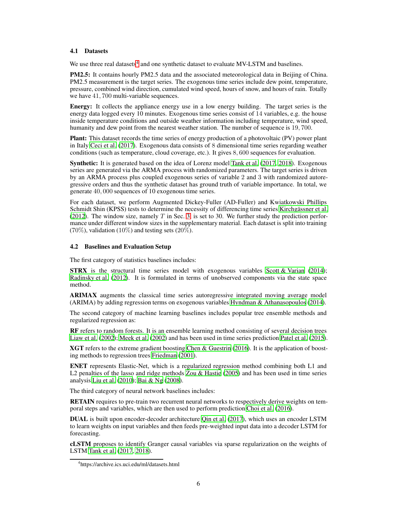#### 4.1 Datasets

We use three real datasets<sup>[4](#page-5-0)</sup> and one synthetic dataset to evaluate MV-LSTM and baselines.

PM2.5: It contains hourly PM2.5 data and the associated meteorological data in Beijing of China. PM2.5 measurement is the target series. The exogenous time series include dew point, temperature, pressure, combined wind direction, cumulated wind speed, hours of snow, and hours of rain. Totally we have 41, 700 multi-variable sequences.

Energy: It collects the appliance energy use in a low energy building. The target series is the energy data logged every  $\hat{10}$  minutes. Exogenous time series consist of  $\hat{14}$  variables, e.g. the house inside temperature conditions and outside weather information including temperature, wind speed, humanity and dew point from the nearest weather station. The number of sequence is 19, 700.

Plant: This dataset records the time series of energy production of a photovoltaic (PV) power plant in Italy [Ceci et al.](#page-8-6) [\(2017\)](#page-8-6). Exogenous data consists of 8 dimensional time series regarding weather conditions (such as temperature, cloud coverage, etc.). It gives 8, 600 sequences for evaluation.

Synthetic: It is generated based on the idea of Lorenz model [Tank et al.](#page-10-7) [\(2017,](#page-10-7) [2018\)](#page-10-8). Exogenous series are generated via the ARMA process with randomized parameters. The target series is driven by an ARMA process plus coupled exogenous series of variable 2 and 3 with randomized autoregressive orders and thus the synthetic dataset has ground truth of variable importance. In total, we generate 40, 000 sequences of 10 exogenous time series.

For each dataset, we perform Augmented Dickey-Fuller (AD-Fuller) and Kwiatkowski Phillips Schmidt Shin (KPSS) tests to determine the necessity of differencing time series [Kirchgässner et al.](#page-9-13) [\(2012\)](#page-9-13). The window size, namely  $T$  in Sec. [3,](#page-1-1) is set to 30. We further study the prediction performance under different window sizes in the supplementary material. Each dataset is split into training (70%), validation (10%) and testing sets (20%).

## 4.2 Baselines and Evaluation Setup

The first category of statistics baselines includes:

**STRX** is the structural time series model with exogenous variables [Scott & Varian](#page-10-13) [\(2014\)](#page-10-13); [Radinsky et al.](#page-10-14) [\(2012\)](#page-10-14). It is formulated in terms of unobserved components via the state space method.

ARIMAX augments the classical time series autoregressive integrated moving average model (ARIMA) by adding regression terms on exogenous variables [Hyndman & Athanasopoulos](#page-9-14) [\(2014\)](#page-9-14).

The second category of machine learning baselines includes popular tree ensemble methods and regularized regression as:

RF refers to random forests. It is an ensemble learning method consisting of several decision trees [Liaw et al. \(2002\)](#page-9-15); [Meek et al.](#page-10-15) [\(2002\)](#page-10-15) and has been used in time series prediction [Patel et al. \(2015\)](#page-10-16).

XGT refers to the extreme gradient boosting [Chen & Guestrin \(2016\)](#page-8-7). It is the application of boosting methods to regression trees [Friedman \(2001\)](#page-9-16).

ENET represents Elastic-Net, which is a regularized regression method combining both L1 and L2 penalties of the lasso and ridge methods [Zou & Hastie \(2005\)](#page-11-6) and has been used in time series analysis [Liu et al. \(2010](#page-10-17)); [Bai & Ng \(2008](#page-8-8)).

The third category of neural network baselines includes:

RETAIN requires to pre-train two recurrent neural networks to respectively derive weights on temporal steps and variables, which are then used to perform prediction [Choi et al.](#page-8-3) [\(2016\)](#page-8-3).

DUAL is built upon encoder-decoder architecture [Qin et al. \(2017\)](#page-10-0), which uses an encoder LSTM to learn weights on input variables and then feeds pre-weighted input data into a decoder LSTM for forecasting.

cLSTM proposes to identify Granger causal variables via sparse regularization on the weights of LSTM [Tank et al. \(2017,](#page-10-7) [2018](#page-10-8)).

<span id="page-5-0"></span><sup>4</sup> https://archive.ics.uci.edu/ml/datasets.html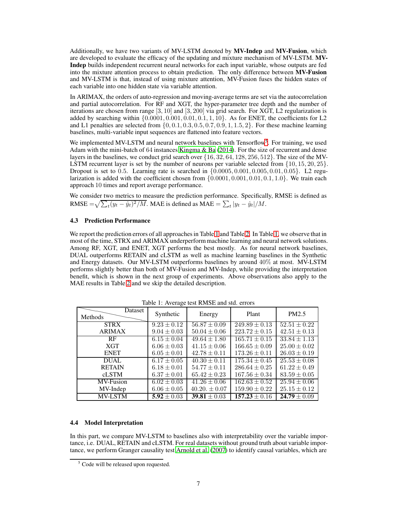Additionally, we have two variants of MV-LSTM denoted by MV-Indep and MV-Fusion, which are developed to evaluate the efficacy of the updating and mixture mechanism of MV-LSTM. MV-Indep builds independent recurrent neural networks for each input variable, whose outputs are fed into the mixture attention process to obtain prediction. The only difference between MV-Fusion and MV-LSTM is that, instead of using mixture attention, MV-Fusion fuses the hidden states of each variable into one hidden state via variable attention.

In ARIMAX, the orders of auto-regression and moving-average terms are set via the autocorrelation and partial autocorrelation. For RF and XGT, the hyper-parameter tree depth and the number of iterations are chosen from range  $[3, 10]$  and  $[3, 200]$  via grid search. For XGT, L2 regularization is added by searching within  $\{0.0001, 0.001, 0.01, 0.1, 1, 10\}$ . As for ENET, the coefficients for L2 and L1 penalties are selected from  $\{0, 0.1, 0.3, 0.5, 0.7, 0.9, 1, 1.5, 2\}$ . For these machine learning baselines, multi-variable input sequences are flattened into feature vectors.

We implemented MV-LSTM and neural network baselines with Tensorflow<sup>[5](#page-6-0)</sup>. For training, we used Adam with the mini-batch of 64 instances [Kingma & Ba \(2014](#page-9-17)). For the size of recurrent and dense layers in the baselines, we conduct grid search over {16, 32, 64, 128, 256, 512}. The size of the MV-LSTM recurrent layer is set by the number of neurons per variable selected from  $\{10, 15, 20, 25\}$ . Dropout is set to 0.5. Learning rate is searched in  $\{0.0005, 0.001, 0.005, 0.01, 0.05\}$ . L2 regularization is added with the coefficient chosen from  $\{0.0001, 0.001, 0.01, 0.1, 1.0\}$ . We train each approach 10 times and report average performance.

We consider two metrics to measure the prediction performance. Specifically, RMSE is defined as RMSE  $=\sqrt{\sum_t (y_t - \hat{y}_t)^2 / M}$ . MAE is defined as MAE  $=\sum_t |y_t - \hat{y}_t| / M$ .

## 4.3 Prediction Performance

We report the prediction errors of all approaches in Table [1](#page-6-1) and Table [2.](#page-7-0) In Table [1,](#page-6-1) we observe that in most of the time, STRX and ARIMAX underperform machine learning and neural network solutions. Among RF, XGT, and ENET, XGT performs the best mostly. As for neural network baselines, DUAL outperforms RETAIN and cLSTM as well as machine learning baselines in the Synthetic and Energy datasets. Our MV-LSTM outperforms baselines by around 40% at most. MV-LSTM performs slightly better than both of MV-Fusion and MV-Indep, while providing the interpretation benefit, which is shown in the next group of experiments. Above observations also apply to the MAE results in Table [2](#page-7-0) and we skip the detailed description.

<span id="page-6-1"></span>

| rable 1. Therage test Kingda and state efforts |                 |                  |                   |                  |
|------------------------------------------------|-----------------|------------------|-------------------|------------------|
| Dataset<br>Methods                             | Synthetic       | Energy           | Plant             | PM2.5            |
| <b>STRX</b>                                    | $9.23 \pm 0.12$ | $56.87 \pm 0.09$ | $249.89 \pm 0.13$ | $52.51 \pm 0.22$ |
| <b>ARIMAX</b>                                  | $9.04 \pm 0.03$ | $50.04 \pm 0.06$ | $223.72 \pm 0.15$ | $42.51 \pm 0.13$ |
| RF                                             | $6.15 \pm 0.04$ | $49.64 \pm 1.80$ | $165.71 \pm 0.15$ | $33.84 \pm 1.13$ |
| <b>XGT</b>                                     | $6.06 \pm 0.03$ | $41.15 \pm 0.06$ | $166.65 \pm 0.09$ | $25.00 \pm 0.02$ |
| <b>ENET</b>                                    | $6.05 \pm 0.01$ | $42.78 \pm 0.11$ | $173.26 \pm 0.11$ | $26.03 \pm 0.19$ |
| <b>DUAL</b>                                    | $6.17 \pm 0.05$ | $40.30 \pm 0.11$ | $175.34 \pm 0.45$ | $25.53 \pm 0.08$ |
| <b>RETAIN</b>                                  | $6.18 \pm 0.01$ | $54.77 \pm 0.11$ | $286.64 \pm 0.25$ | $61.22 \pm 0.49$ |
| cLSTM                                          | $6.37 \pm 0.01$ | $65.42 \pm 0.23$ | $167.56 \pm 0.34$ | $83.59 \pm 0.05$ |
| MV-Fusion                                      | $6.02 \pm 0.03$ | $41.26 \pm 0.06$ | $162.63 \pm 0.52$ | $25.94 \pm 0.06$ |
| MV-Indep                                       | $6.06 \pm 0.05$ | $40.20 \pm 0.07$ | $159.90 \pm 0.22$ | $25.15 \pm 0.12$ |
| <b>MV-LSTM</b>                                 | $5.92 \pm 0.03$ | 39.81 $\pm 0.03$ | $157.23 \pm 0.16$ | $24.79 \pm 0.09$ |

Table 1: Average test RMSE and std. errors

#### 4.4 Model Interpretation

In this part, we compare MV-LSTM to baselines also with interpretability over the variable importance, i.e. DUAL, RETAIN and cLSTM. For real datasets without ground truth about variable importance, we perform Granger causality test [Arnold et al.](#page-8-9) [\(2007\)](#page-8-9) to identify causal variables, which are

<span id="page-6-0"></span><sup>&</sup>lt;sup>5</sup> Code will be released upon requested.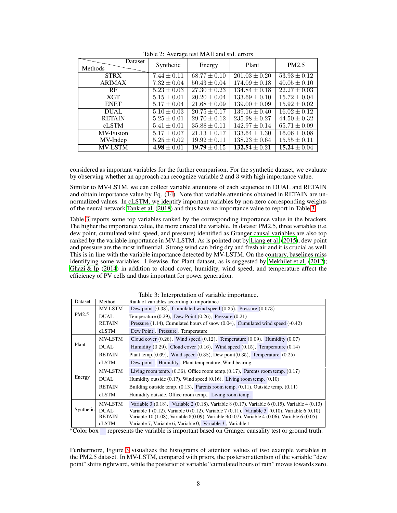<span id="page-7-0"></span>

| radio 2. Twords toot in the and state chois |                 |                  |                   |                  |
|---------------------------------------------|-----------------|------------------|-------------------|------------------|
| Dataset<br>Methods                          | Synthetic       | Energy           | Plant             | PM2.5            |
| <b>STRX</b>                                 | $7.44 \pm 0.11$ | $68.77 \pm 0.10$ | $201.03 \pm 0.20$ | $53.93 \pm 0.12$ |
| <b>ARIMAX</b>                               | $7.32 \pm 0.04$ | $50.43 \pm 0.04$ | $174.09 \pm 0.18$ | $40.05 \pm 0.10$ |
| RF                                          | $5.23 \pm 0.03$ | $27.30 \pm 0.23$ | $134.84 \pm 0.18$ | $22.27 \pm 0.03$ |
| <b>XGT</b>                                  | $5.15 \pm 0.01$ | $20.20 \pm 0.04$ | $133.69 \pm 0.10$ | $15.72 \pm 0.04$ |
| <b>ENET</b>                                 | $5.17 \pm 0.04$ | $21.68 \pm 0.09$ | $139.00 \pm 0.09$ | $15.92 \pm 0.02$ |
| <b>DUAL</b>                                 | $5.10 \pm 0.03$ | $20.75 \pm 0.17$ | $139.16 \pm 0.40$ | $16.02 \pm 0.12$ |
| <b>RETAIN</b>                               | $5.25 \pm 0.01$ | $29.70 \pm 0.12$ | $235.98 \pm 0.27$ | $44.50 \pm 0.32$ |
| <b>cLSTM</b>                                | $5.41 \pm 0.01$ | $35.88 \pm 0.11$ | $142.97 \pm 0.14$ | $65.71 \pm 0.09$ |
| <b>MV-Fusion</b>                            | $5.17 \pm 0.07$ | $21.13 \pm 0.17$ | $133.64 \pm 1.30$ | $16.06 \pm 0.08$ |
| MV-Indep                                    | $5.25 \pm 0.02$ | $19.92 \pm 0.11$ | $138.23 \pm 0.64$ | $15.55 \pm 0.11$ |
| <b>MV-LSTM</b>                              | 4.98 $\pm 0.01$ | $19.79 \pm 0.15$ | $132.54 \pm 0.21$ | $15.24 \pm 0.04$ |

Table 2: Average test MAE and std. errors

considered as important variables for the further comparison. For the synthetic dataset, we evaluate by observing whether an approach can recognize variable 2 and 3 with high importance value.

Similar to MV-LSTM, we can collect variable attentions of each sequence in DUAL and RETAIN and obtain importance value by Eq. [\(14\)](#page-4-2). Note that variable attentions obtained in RETAIN are unnormalized values. In cLSTM, we identify important variables by non-zero corresponding weights of the neural network [Tank et al. \(2018](#page-10-8)) and thus have no importance value to report in Table [3.](#page-7-1)

Table [3](#page-7-1) reports some top variables ranked by the corresponding importance value in the brackets. The higher the importance value, the more crucial the variable. In dataset PM2.5, three variables (i.e. dew point, cumulated wind speed, and pressure) identified as Granger causal variables are also top ranked by the variable importance in MV-LSTM. As is pointed out by [Liang et al. \(2015\)](#page-9-18), dew point and pressure are the most influential. Strong wind can bring dry and fresh air and it is crucial as well. This is in line with the variable importance detected by MV-LSTM. On the contrary, baselines miss identifying some variables. Likewise, for Plant dataset, as is suggested by [Mekhilef et al.](#page-10-18) [\(2012\)](#page-10-18); Ghazi  $\&$  Ip (2014) in addition to cloud cover, humidity, wind speed, and temperature affect the efficiency of PV cells and thus important for power generation.

<span id="page-7-1"></span>

|           |                | rable 5. Interpretation or variable importance.                                                             |
|-----------|----------------|-------------------------------------------------------------------------------------------------------------|
| Dataset   | Method         | Rank of variables according to importance                                                                   |
|           | MV-LSTM        | Dew point $(0.38)$ , Cumulated wind speed $(0.35)$ , Pressure $(0.073)$                                     |
| PM2.5     | <b>DUAL</b>    | Temperature $(0.29)$ , Dew Point $(0.26)$ , Pressure $(0.21)$                                               |
|           | <b>RETAIN</b>  | Pressure $(1.14)$ , Cumulated hours of snow $(0.04)$ , Cumulated wind speed $(-0.42)$                       |
|           | cLSTM          | Dew Point, Pressure, Temperature                                                                            |
|           | <b>MV-LSTM</b> | Cloud cover $(0.26)$ , Wind speed $(0.12)$ , Temperature $(0.09)$ , Humidity $(0.07)$                       |
| Plant     | <b>DUAL</b>    | Humidity $(0.29)$ , Cloud cover $(0.16)$ , Wind speed $(0.15)$ , Temperature $(0.14)$                       |
|           | <b>RETAIN</b>  | Plant temp. $(0.69)$ , Wind speed $(0.38)$ , Dew point $(0.35)$ , Temperature $(0.25)$                      |
|           | cLSTM          | Dew point, Humidity, Plant temperature, Wind bearing                                                        |
|           | <b>MV-LSTM</b> | Living room temp. $(0.36)$ , Office room temp. $(0.17)$ , Parents room temp. $(0.17)$                       |
| Energy    | <b>DUAL</b>    | Humidity outside $(0.17)$ , Wind speed $(0.16)$ , Living room temp. $(0.10)$                                |
|           | <b>RETAIN</b>  | Building outside temp. $(0.13)$ , Parents room temp. $(0.11)$ , Outside temp. $(0.11)$                      |
|           | cLSTM          | Humidity outside, Office room temp., Living room temp.                                                      |
|           | <b>MV-LSTM</b> | Variable 3 $(0.18)$ , Variable 2 $(0.18)$ , Variable 8 $(0.17)$ , Variable 6 $(0.15)$ , Variable 4 $(0.13)$ |
| Synthetic | DUAL.          | Variable 1 $(0.12)$ , Variable 0 $(0.12)$ , Variable 7 $(0.11)$ , Variable 3 $(0.10)$ , Variable 6 $(0.10)$ |
|           | <b>RETAIN</b>  | Variable 10 (1.08), Variable 8(0.09), Variable 9(0.07), Variable 4 (0.06), Variable 6 (0.05)                |
|           | cLSTM          | Variable 7, Variable 6, Variable 0, Variable 3, Variable 1                                                  |

Table 3: Interpretation of variable importance

\*Color box · represents the variable is important based on Granger causality test or ground truth.

Furthermore, Figure [3](#page-8-10) visualizes the histograms of attention values of two example variables in the PM2.5 dataset. In MV-LSTM, compared with priors, the posterior attention of the variable "dew point" shifts rightward, while the posterior of variable "cumulated hours of rain" moves towards zero.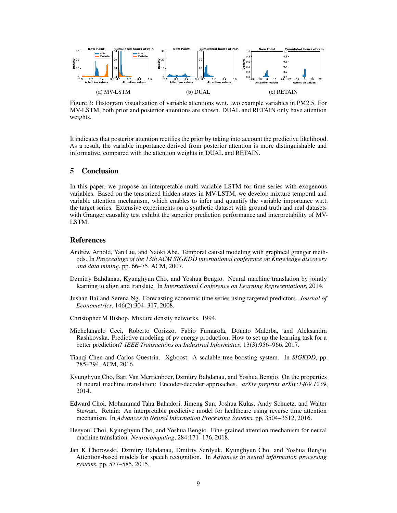<span id="page-8-10"></span>

Figure 3: Histogram visualization of variable attentions w.r.t. two example variables in PM2.5. For MV-LSTM, both prior and posterior attentions are shown. DUAL and RETAIN only have attention weights.

It indicates that posterior attention rectifies the prior by taking into account the predictive likelihood. As a result, the variable importance derived from posterior attention is more distinguishable and informative, compared with the attention weights in DUAL and RETAIN.

## 5 Conclusion

In this paper, we propose an interpretable multi-variable LSTM for time series with exogenous variables. Based on the tensorized hidden states in MV-LSTM, we develop mixture temporal and variable attention mechanism, which enables to infer and quantify the variable importance w.r.t. the target series. Extensive experiments on a synthetic dataset with ground truth and real datasets with Granger causality test exhibit the superior prediction performance and interpretability of MV-LSTM.

## References

- <span id="page-8-9"></span>Andrew Arnold, Yan Liu, and Naoki Abe. Temporal causal modeling with graphical granger methods. In *Proceedings of the 13th ACM SIGKDD international conference on Knowledge discovery and data mining*, pp. 66–75. ACM, 2007.
- <span id="page-8-1"></span>Dzmitry Bahdanau, Kyunghyun Cho, and Yoshua Bengio. Neural machine translation by jointly learning to align and translate. In *International Conference on Learning Representations*, 2014.
- <span id="page-8-8"></span>Jushan Bai and Serena Ng. Forecasting economic time series using targeted predictors. *Journal of Econometrics*, 146(2):304–317, 2008.
- <span id="page-8-5"></span>Christopher M Bishop. Mixture density networks. 1994.
- <span id="page-8-6"></span>Michelangelo Ceci, Roberto Corizzo, Fabio Fumarola, Donato Malerba, and Aleksandra Rashkovska. Predictive modeling of pv energy production: How to set up the learning task for a better prediction? *IEEE Transactions on Industrial Informatics*, 13(3):956–966, 2017.
- <span id="page-8-7"></span>Tianqi Chen and Carlos Guestrin. Xgboost: A scalable tree boosting system. In *SIGKDD*, pp. 785–794. ACM, 2016.
- <span id="page-8-0"></span>Kyunghyun Cho, Bart Van Merriënboer, Dzmitry Bahdanau, and Yoshua Bengio. On the properties of neural machine translation: Encoder-decoder approaches. *arXiv preprint arXiv:1409.1259*, 2014.
- <span id="page-8-3"></span>Edward Choi, Mohammad Taha Bahadori, Jimeng Sun, Joshua Kulas, Andy Schuetz, and Walter Stewart. Retain: An interpretable predictive model for healthcare using reverse time attention mechanism. In *Advances in Neural Information Processing Systems*, pp. 3504–3512, 2016.
- <span id="page-8-4"></span>Heeyoul Choi, Kyunghyun Cho, and Yoshua Bengio. Fine-grained attention mechanism for neural machine translation. *Neurocomputing*, 284:171–176, 2018.
- <span id="page-8-2"></span>Jan K Chorowski, Dzmitry Bahdanau, Dmitriy Serdyuk, Kyunghyun Cho, and Yoshua Bengio. Attention-based models for speech recognition. In *Advances in neural information processing systems*, pp. 577–585, 2015.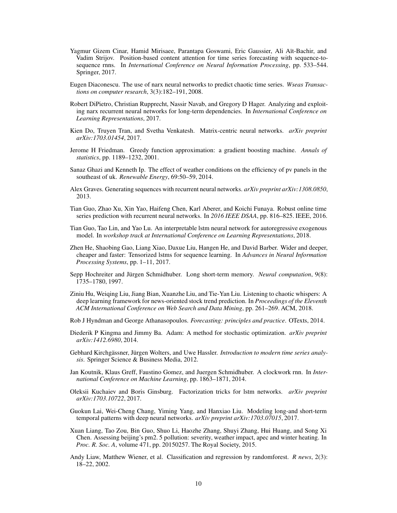- <span id="page-9-4"></span>Yagmur Gizem Cinar, Hamid Mirisaee, Parantapa Goswami, Eric Gaussier, Ali Aït-Bachir, and Vadim Strijov. Position-based content attention for time series forecasting with sequence-tosequence rnns. In *International Conference on Neural Information Processing*, pp. 533–544. Springer, 2017.
- <span id="page-9-5"></span>Eugen Diaconescu. The use of narx neural networks to predict chaotic time series. *Wseas Transactions on computer research*, 3(3):182–191, 2008.
- <span id="page-9-0"></span>Robert DiPietro, Christian Rupprecht, Nassir Navab, and Gregory D Hager. Analyzing and exploiting narx recurrent neural networks for long-term dependencies. In *International Conference on Learning Representations*, 2017.
- <span id="page-9-8"></span>Kien Do, Truyen Tran, and Svetha Venkatesh. Matrix-centric neural networks. *arXiv preprint arXiv:1703.01454*, 2017.
- <span id="page-9-16"></span>Jerome H Friedman. Greedy function approximation: a gradient boosting machine. *Annals of statistics*, pp. 1189–1232, 2001.
- <span id="page-9-19"></span>Sanaz Ghazi and Kenneth Ip. The effect of weather conditions on the efficiency of pv panels in the southeast of uk. *Renewable Energy*, 69:50–59, 2014.
- <span id="page-9-12"></span>Alex Graves. Generating sequences with recurrent neural networks. *arXiv preprint arXiv:1308.0850*, 2013.
- <span id="page-9-3"></span>Tian Guo, Zhao Xu, Xin Yao, Haifeng Chen, Karl Aberer, and Koichi Funaya. Robust online time series prediction with recurrent neural networks. In *2016 IEEE DSAA*, pp. 816–825. IEEE, 2016.
- <span id="page-9-7"></span>Tian Guo, Tao Lin, and Yao Lu. An interpretable lstm neural network for autoregressive exogenous model. In *workshop track at International Conference on Learning Representations*, 2018.
- <span id="page-9-9"></span>Zhen He, Shaobing Gao, Liang Xiao, Daxue Liu, Hangen He, and David Barber. Wider and deeper, cheaper and faster: Tensorized lstms for sequence learning. In *Advances in Neural Information Processing Systems*, pp. 1–11, 2017.
- <span id="page-9-2"></span>Sepp Hochreiter and Jürgen Schmidhuber. Long short-term memory. *Neural computation*, 9(8): 1735–1780, 1997.
- <span id="page-9-1"></span>Ziniu Hu, Weiqing Liu, Jiang Bian, Xuanzhe Liu, and Tie-Yan Liu. Listening to chaotic whispers: A deep learning framework for news-oriented stock trend prediction. In *Proceedings of the Eleventh ACM International Conference on Web Search and Data Mining*, pp. 261–269. ACM, 2018.
- <span id="page-9-14"></span>Rob J Hyndman and George Athanasopoulos. *Forecasting: principles and practice*. OTexts, 2014.
- <span id="page-9-17"></span>Diederik P Kingma and Jimmy Ba. Adam: A method for stochastic optimization. *arXiv preprint arXiv:1412.6980*, 2014.
- <span id="page-9-13"></span>Gebhard Kirchgässner, Jürgen Wolters, and Uwe Hassler. *Introduction to modern time series analysis*. Springer Science & Business Media, 2012.
- <span id="page-9-10"></span>Jan Koutnik, Klaus Greff, Faustino Gomez, and Juergen Schmidhuber. A clockwork rnn. In *International Conference on Machine Learning*, pp. 1863–1871, 2014.
- <span id="page-9-11"></span>Oleksii Kuchaiev and Boris Ginsburg. Factorization tricks for lstm networks. *arXiv preprint arXiv:1703.10722*, 2017.
- <span id="page-9-6"></span>Guokun Lai, Wei-Cheng Chang, Yiming Yang, and Hanxiao Liu. Modeling long-and short-term temporal patterns with deep neural networks. *arXiv preprint arXiv:1703.07015*, 2017.
- <span id="page-9-18"></span>Xuan Liang, Tao Zou, Bin Guo, Shuo Li, Haozhe Zhang, Shuyi Zhang, Hui Huang, and Song Xi Chen. Assessing beijing's pm2. 5 pollution: severity, weather impact, apec and winter heating. In *Proc. R. Soc. A*, volume 471, pp. 20150257. The Royal Society, 2015.
- <span id="page-9-15"></span>Andy Liaw, Matthew Wiener, et al. Classification and regression by randomforest. *R news*, 2(3): 18–22, 2002.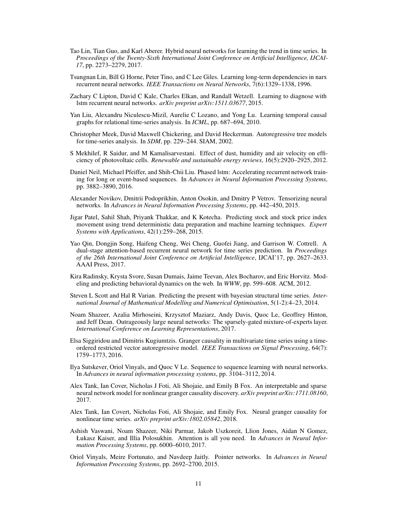- <span id="page-10-4"></span>Tao Lin, Tian Guo, and Karl Aberer. Hybrid neural networks for learning the trend in time series. In *Proceedings of the Twenty-Sixth International Joint Conference on Artificial Intelligence, IJCAI-17*, pp. 2273–2279, 2017.
- <span id="page-10-1"></span>Tsungnan Lin, Bill G Horne, Peter Tino, and C Lee Giles. Learning long-term dependencies in narx recurrent neural networks. *IEEE Transactions on Neural Networks*, 7(6):1329–1338, 1996.
- <span id="page-10-3"></span>Zachary C Lipton, David C Kale, Charles Elkan, and Randall Wetzell. Learning to diagnose with lstm recurrent neural networks. *arXiv preprint arXiv:1511.03677*, 2015.
- <span id="page-10-17"></span>Yan Liu, Alexandru Niculescu-Mizil, Aurelie C Lozano, and Yong Lu. Learning temporal causal graphs for relational time-series analysis. In *ICML*, pp. 687–694, 2010.
- <span id="page-10-15"></span>Christopher Meek, David Maxwell Chickering, and David Heckerman. Autoregressive tree models for time-series analysis. In *SDM*, pp. 229–244. SIAM, 2002.
- <span id="page-10-18"></span>S Mekhilef, R Saidur, and M Kamalisarvestani. Effect of dust, humidity and air velocity on efficiency of photovoltaic cells. *Renewable and sustainable energy reviews*, 16(5):2920–2925, 2012.
- <span id="page-10-11"></span>Daniel Neil, Michael Pfeiffer, and Shih-Chii Liu. Phased lstm: Accelerating recurrent network training for long or event-based sequences. In *Advances in Neural Information Processing Systems*, pp. 3882–3890, 2016.
- <span id="page-10-10"></span>Alexander Novikov, Dmitrii Podoprikhin, Anton Osokin, and Dmitry P Vetrov. Tensorizing neural networks. In *Advances in Neural Information Processing Systems*, pp. 442–450, 2015.
- <span id="page-10-16"></span>Jigar Patel, Sahil Shah, Priyank Thakkar, and K Kotecha. Predicting stock and stock price index movement using trend deterministic data preparation and machine learning techniques. *Expert Systems with Applications*, 42(1):259–268, 2015.
- <span id="page-10-0"></span>Yao Qin, Dongjin Song, Haifeng Cheng, Wei Cheng, Guofei Jiang, and Garrison W. Cottrell. A dual-stage attention-based recurrent neural network for time series prediction. In *Proceedings of the 26th International Joint Conference on Artificial Intelligence*, IJCAI'17, pp. 2627–2633. AAAI Press, 2017.
- <span id="page-10-14"></span>Kira Radinsky, Krysta Svore, Susan Dumais, Jaime Teevan, Alex Bocharov, and Eric Horvitz. Modeling and predicting behavioral dynamics on the web. In *WWW*, pp. 599–608. ACM, 2012.
- <span id="page-10-13"></span>Steven L Scott and Hal R Varian. Predicting the present with bayesian structural time series. *International Journal of Mathematical Modelling and Numerical Optimisation*, 5(1-2):4–23, 2014.
- <span id="page-10-12"></span>Noam Shazeer, Azalia Mirhoseini, Krzysztof Maziarz, Andy Davis, Quoc Le, Geoffrey Hinton, and Jeff Dean. Outrageously large neural networks: The sparsely-gated mixture-of-experts layer. *International Conference on Learning Representations*, 2017.
- <span id="page-10-2"></span>Elsa Siggiridou and Dimitris Kugiumtzis. Granger causality in multivariate time series using a timeordered restricted vector autoregressive model. *IEEE Transactions on Signal Processing*, 64(7): 1759–1773, 2016.
- <span id="page-10-5"></span>Ilya Sutskever, Oriol Vinyals, and Quoc V Le. Sequence to sequence learning with neural networks. In *Advances in neural information processing systems*, pp. 3104–3112, 2014.
- <span id="page-10-7"></span>Alex Tank, Ian Cover, Nicholas J Foti, Ali Shojaie, and Emily B Fox. An interpretable and sparse neural network model for nonlinear granger causality discovery. *arXiv preprint arXiv:1711.08160*, 2017.
- <span id="page-10-8"></span>Alex Tank, Ian Covert, Nicholas Foti, Ali Shojaie, and Emily Fox. Neural granger causality for nonlinear time series. *arXiv preprint arXiv:1802.05842*, 2018.
- <span id="page-10-9"></span>Ashish Vaswani, Noam Shazeer, Niki Parmar, Jakob Uszkoreit, Llion Jones, Aidan N Gomez, Łukasz Kaiser, and Illia Polosukhin. Attention is all you need. In *Advances in Neural Information Processing Systems*, pp. 6000–6010, 2017.
- <span id="page-10-6"></span>Oriol Vinyals, Meire Fortunato, and Navdeep Jaitly. Pointer networks. In *Advances in Neural Information Processing Systems*, pp. 2692–2700, 2015.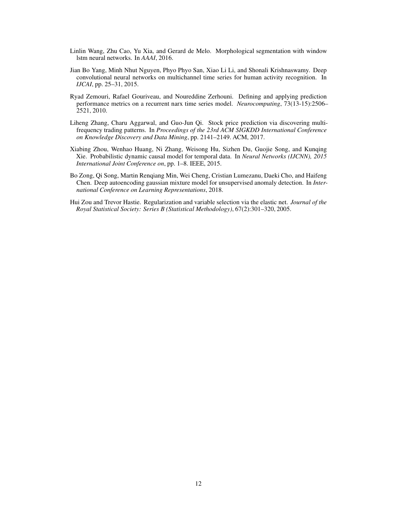- <span id="page-11-3"></span>Linlin Wang, Zhu Cao, Yu Xia, and Gerard de Melo. Morphological segmentation with window lstm neural networks. In *AAAI*, 2016.
- <span id="page-11-0"></span>Jian Bo Yang, Minh Nhut Nguyen, Phyo Phyo San, Xiao Li Li, and Shonali Krishnaswamy. Deep convolutional neural networks on multichannel time series for human activity recognition. In *IJCAI*, pp. 25–31, 2015.
- <span id="page-11-1"></span>Ryad Zemouri, Rafael Gouriveau, and Noureddine Zerhouni. Defining and applying prediction performance metrics on a recurrent narx time series model. *Neurocomputing*, 73(13-15):2506– 2521, 2010.
- <span id="page-11-4"></span>Liheng Zhang, Charu Aggarwal, and Guo-Jun Qi. Stock price prediction via discovering multifrequency trading patterns. In *Proceedings of the 23rd ACM SIGKDD International Conference on Knowledge Discovery and Data Mining*, pp. 2141–2149. ACM, 2017.
- <span id="page-11-2"></span>Xiabing Zhou, Wenhao Huang, Ni Zhang, Weisong Hu, Sizhen Du, Guojie Song, and Kunqing Xie. Probabilistic dynamic causal model for temporal data. In *Neural Networks (IJCNN), 2015 International Joint Conference on*, pp. 1–8. IEEE, 2015.
- <span id="page-11-5"></span>Bo Zong, Qi Song, Martin Renqiang Min, Wei Cheng, Cristian Lumezanu, Daeki Cho, and Haifeng Chen. Deep autoencoding gaussian mixture model for unsupervised anomaly detection. In *International Conference on Learning Representations*, 2018.
- <span id="page-11-6"></span>Hui Zou and Trevor Hastie. Regularization and variable selection via the elastic net. *Journal of the Royal Statistical Society: Series B (Statistical Methodology)*, 67(2):301–320, 2005.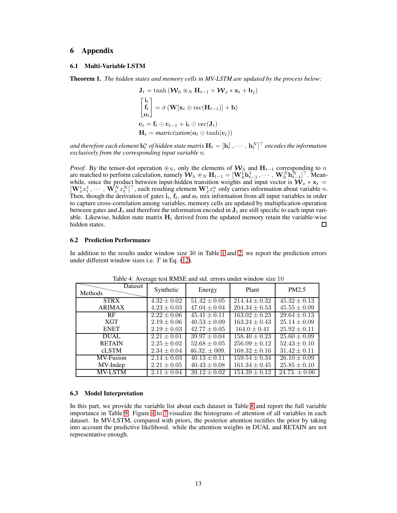# 6 Appendix

## 6.1 Multi-Variable LSTM

Theorem 1. *The hidden states and memory cells in MV-LSTM are updated by the process below:*

$$
\mathbf{J}_t = \tanh\left(\mathbf{W}_h \circledast_N \mathbf{H}_{t-1} + \mathbf{W}_x * \mathbf{x}_t + \mathbf{b}_j\right)
$$
\n
$$
\begin{bmatrix}\n\mathbf{i}_t \\
\mathbf{f}_t \\
\mathbf{o}_t\n\end{bmatrix} = \sigma\left(\mathbf{W}[\mathbf{x}_t \oplus \text{vec}(\mathbf{H}_{t-1})] + \mathbf{b}\right)
$$
\n
$$
\mathbf{c}_t = \mathbf{f}_t \odot \mathbf{c}_{t-1} + \mathbf{i}_t \odot \text{vec}(\mathbf{J}_t)
$$
\n
$$
\mathbf{H}_t = \text{matricization}(\mathbf{o}_t \odot \tanh(\mathbf{c}_t))
$$

and therefore each element  $\mathbf{h}^n_t$  of hidden state matrix  $\mathbf{H}_t = [\mathbf{h}^1_t \,, \cdots, \, \mathbf{h}^N_t]^\top$  encodes the information *exclusively from the corresponding input variable* n*.*

*Proof.* By the tensor-dot operation  $\otimes_N$ , only the elements of  $W_h$  and  $H_{t-1}$  corresponding to n are matched to perform calculation, namely  $\mathbf{W}_h \otimes_N \mathbf{H}_{t-1} = [\mathbf{W}_h^{\text{T}} \mathbf{h}_{t-1}^1, \cdots, \mathbf{W}_h^N \mathbf{h}_{t-1}^N]^{\top}$ . Meanwhile, since the product between input-hidden transition weights and input vector is  $\mathcal{W}_x * x_t =$  $[\mathbf{W}_x^1 x_t^1, \cdots, \mathbf{W}_x^N x_t^N]^\top$ , each resulting element  $\mathbf{W}_x^1 x_t^n$  only carries information about variable n. Then, though the derivation of gates  $\mathbf{i}_t$ ,  $\mathbf{f}_t$ , and  $\mathbf{o}_t$  mix information from all input variables in order to capture cross-correlation among variables, memory cells are updated by multiplication operation between gates and  $J_t$  and therefore the information encoded in  $J_t$  are still specific to each input variable. Likewise, hidden state matrix  $H_t$  derived from the updated memory retain the variable-wise hidden states.  $\Box$ 

#### 6.2 Prediction Performance

In addition to the results under window size 30 in Table [1](#page-6-1) and [2,](#page-7-0) we report the prediction errors under different window sizes i.e. T in Eq. [\(12\)](#page-4-3).

| THE R. P. P. LEWIS CO., PERSONAL SIGNAL CHOICE OF MILLION SIGN TO |                 |                  |                   |                  |
|-------------------------------------------------------------------|-----------------|------------------|-------------------|------------------|
| Dataset<br>Methods                                                | Synthetic       | Energy           | Plant             | PM2.5            |
| <b>STRX</b>                                                       | $4.32 \pm 0.02$ | $51.42 \pm 0.05$ | $214.44 \pm 0.32$ | $45.32 \pm 0.13$ |
| <b>ARIMAX</b>                                                     | $4.23 \pm 0.03$ | $47.04 \pm 0.04$ | $204.34 \pm 0.53$ | $45.55 \pm 0.09$ |
| RF                                                                | $2.22 \pm 0.06$ | $45.41 \pm 0.11$ | $163.02 \pm 0.23$ | $29.64 \pm 0.13$ |
| <b>XGT</b>                                                        | $2.19 \pm 0.06$ | $40.53 \pm 0.09$ | $163.24 \pm 0.43$ | $25.14 \pm 0.09$ |
| <b>ENET</b>                                                       | $2.19 \pm 0.03$ | $42.77 \pm 0.05$ | $164.0 \pm 0.41$  | $25.92 \pm 0.11$ |
| <b>DUAL</b>                                                       | $2.21 \pm 0.01$ | $39.97 \pm 0.04$ | $158.40 \pm 0.23$ | $25.60 \pm 0.09$ |
| <b>RETAIN</b>                                                     | $2.25 \pm 0.02$ | $52.68 \pm 0.05$ | $256.09 \pm 0.12$ | $52.43 \pm 0.10$ |
| cLSTM                                                             | $2.34 \pm 0.04$ | $46.32 \pm 009.$ | $168.32 \pm 0.16$ | $31.42 \pm 0.11$ |
| MV-Fusion                                                         | $2.14 \pm 0.03$ | $40.13 \pm 0.11$ | $159.54 \pm 0.34$ | $26.10 \pm 0.09$ |
| MV-Indep                                                          | $2.21 \pm 0.05$ | $40.43 \pm 0.08$ | $161.34 \pm 0.45$ | $25.85 \pm 0.10$ |
| <b>MV-LSTM</b>                                                    | $2.11 \pm 0.04$ | $39.12 \pm 0.02$ | $154.39 \pm 0.12$ | $24.73 \pm 0.06$ |

Table 4: Average test RMSE and std. errors under window size 10

#### 6.3 Model Interpretation

In this part, we provide the variable list about each dataset in Table [8](#page-13-0) and report the full variable importance in Table [9.](#page-14-0) Figure [4](#page-15-0) to [7](#page-18-0) visualize the histograms of attention of all variables in each dataset. In MV-LSTM, compared with priors, the posterior attention rectifies the prior by taking into account the predictive likelihood. while the attention weights in DUAL and RETAIN are not representative enough.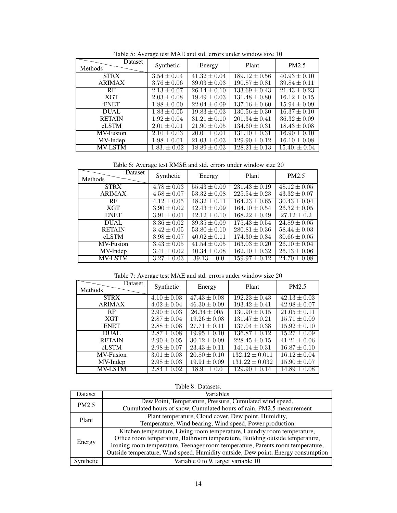| Table 5. Twentye test the the and stall effects and a white will be 10 |                 |                  |                   |                  |
|------------------------------------------------------------------------|-----------------|------------------|-------------------|------------------|
| Dataset<br>Methods                                                     | Synthetic       | Energy           | Plant             | PM2.5            |
| <b>STRX</b>                                                            | $3.54 \pm 0.04$ | $41.32 \pm 0.04$ | $189.12 \pm 0.56$ | $40.93 \pm 0.10$ |
| <b>ARIMAX</b>                                                          | $3.76 \pm 0.06$ | $39.03 \pm 0.03$ | $190.87 \pm 0.81$ | $39.84 \pm 0.11$ |
| RF                                                                     | $2.13 \pm 0.07$ | $26.14 \pm 0.10$ | $133.69 \pm 0.43$ | $21.43 \pm 0.23$ |
| <b>XGT</b>                                                             | $2.03 \pm 0.08$ | $19.49 \pm 0.03$ | $131.48 \pm 0.80$ | $16.12 \pm 0.15$ |
| <b>ENET</b>                                                            | $1.88 \pm 0.00$ | $22.04 \pm 0.09$ | $137.16 \pm 0.60$ | $15.94 \pm 0.09$ |
| <b>DUAL</b>                                                            | $1.83 \pm 0.05$ | $19.83 \pm 0.03$ | $130.56 \pm 0.30$ | $16.37 \pm 0.10$ |
| <b>RETAIN</b>                                                          | $1.92 \pm 0.04$ | $31.21 \pm 0.10$ | $201.34 \pm 0.41$ | $36.32 \pm 0.09$ |
| cLSTM                                                                  | $2.01 \pm 0.01$ | $21.90 \pm 0.05$ | $134.60 \pm 0.31$ | $18.43 \pm 0.08$ |
| MV-Fusion                                                              | $2.10 \pm 0.03$ | $20.01 \pm 0.01$ | $131.10 \pm 0.31$ | $16.90 \pm 0.10$ |
| MV-Indep                                                               | $1.98 \pm 0.01$ | $21.03 \pm 0.03$ | $129.90 \pm 0.12$ | $16.10 \pm 0.08$ |
| <b>MV-LSTM</b>                                                         | $1.83 \pm 0.02$ | $18.89 \pm 0.03$ | $128.21 \pm 0.13$ | $15.40 \pm 0.04$ |

Table 5: Average test MAE and std. errors under window size 10

Table 6: Average test RMSE and std. errors under window size 20

| THOIC O. TWORLEY ROLLANDED HIM SRG. CHOIS GIRLY WHIMOW SHOT 40 |                 |                  |                   |                             |
|----------------------------------------------------------------|-----------------|------------------|-------------------|-----------------------------|
| Dataset<br>Methods                                             | Synthetic       | Energy           | Plant             | PM2.5                       |
| <b>STRX</b>                                                    | $4.78 \pm 0.03$ | $55.43 \pm 0.09$ | $231.43 \pm 0.19$ | $\overline{48.12} \pm 0.05$ |
| <b>ARIMAX</b>                                                  | $4.58 \pm 0.07$ | $53.32 \pm 0.08$ | $225.54 \pm 0.23$ | $43.32 \pm 0.07$            |
| RF                                                             | $4.12 \pm 0.05$ | $48.32 \pm 0.11$ | $164.23 \pm 0.65$ | $30.43 \pm 0.04$            |
| <b>XGT</b>                                                     | $3.90 \pm 0.02$ | $42.43 \pm 0.09$ | $164.10 \pm 0.54$ | $26.32 \pm 0.05$            |
| <b>ENET</b>                                                    | $3.91 \pm 0.01$ | $42.12 \pm 0.10$ | $168.22 \pm 0.49$ | $27.12 \pm 0.2$             |
| <b>DUAL</b>                                                    | $3.36 \pm 0.02$ | $39.35 \pm 0.09$ | $175.43 \pm 0.54$ | $24.89 \pm 0.05$            |
| <b>RETAIN</b>                                                  | $3.42 \pm 0.05$ | $53.80 \pm 0.10$ | $280.81 \pm 0.36$ | $58.44 \pm 0.03$            |
| <b>cLSTM</b>                                                   | $3.98 \pm 0.07$ | $40.02 \pm 0.11$ | $174.30 \pm 0.34$ | $30.66 \pm 0.05$            |
| MV-Fusion                                                      | $3.43 \pm 0.05$ | $41.54 \pm 0.05$ | $163.03 \pm 0.20$ | $26.10 \pm 0.04$            |
| MV-Indep                                                       | $3.41 \pm 0.02$ | $40.34 \pm 0.08$ | $162.10 \pm 0.32$ | $26.13 \pm 0.06$            |
| <b>MV-LSTM</b>                                                 | $3.27 \pm 0.03$ | $39.13 \pm 0.0$  | $159.97 \pm 0.12$ | $24.70 \pm 0.08$            |

Table 7: Average test MAE and std. errors under window size 20

| ratio $\frac{1}{1}$ . Thengo itself in the and state chois and the window size 20 |                 |                  |                    |                         |
|-----------------------------------------------------------------------------------|-----------------|------------------|--------------------|-------------------------|
| Dataset<br>Methods                                                                | Synthetic       | Energy           | Plant              | PM2.5                   |
| <b>STRX</b>                                                                       | $4.10 \pm 0.03$ | $47.43 \pm 0.08$ | $192.23 \pm 0.43$  | $\sqrt{42.13} \pm 0.03$ |
| <b>ARIMAX</b>                                                                     | $4.02 \pm 0.04$ | $46.30 \pm 0.09$ | $193.42 \pm 0.41$  | $42.98 \pm 0.07$        |
| RF                                                                                | $2.90 \pm 0.03$ | $26.34 \pm 0.05$ | $130.90 \pm 0.15$  | $21.05 \pm 0.11$        |
| <b>XGT</b>                                                                        | $2.87 \pm 0.04$ | $19.26 \pm 0.08$ | $131.47 \pm 0.21$  | $15.71 \pm 0.09$        |
| <b>ENET</b>                                                                       | $2.88 \pm 0.08$ | $27.71 \pm 0.11$ | $137.04 \pm 0.38$  | $15.92 \pm 0.10$        |
| <b>DUAL</b>                                                                       | $2.87 \pm 0.08$ | $19.95 \pm 0.10$ | $136.87 \pm 0.12$  | $\sqrt{15.27} \pm 0.09$ |
| <b>RETAIN</b>                                                                     | $2.90 \pm 0.05$ | $30.12 \pm 0.09$ | $228.45 \pm 0.15$  | $41.21 \pm 0.06$        |
| <b>cLSTM</b>                                                                      | $2.98 \pm 0.07$ | $23.43 \pm 0.11$ | $141.14 \pm 0.31$  | $16.87 \pm 0.10$        |
| MV-Fusion                                                                         | $3.01 \pm 0.03$ | $20.80 \pm 0.10$ | $132.12 \pm 0.011$ | $16.12 \pm 0.04$        |
| MV-Indep                                                                          | $2.98 \pm 0.03$ | $19.91 \pm 0.09$ | $131.22 \pm 0.032$ | $15.90 \pm 0.07$        |
| <b>MV-LSTM</b>                                                                    | $2.84 \pm 0.02$ | $18.91 \pm 0.0$  | $129.90 \pm 0.14$  | $14.89 \pm 0.08$        |

| Table 8: Datasets. |  |
|--------------------|--|
|--------------------|--|

<span id="page-13-0"></span>

| Dataset   | Variables                                                                        |
|-----------|----------------------------------------------------------------------------------|
| PM2.5     | Dew Point, Temperature, Pressure, Cumulated wind speed,                          |
|           | Cumulated hours of snow, Cumulated hours of rain, PM2.5 measurement              |
| Plant     | Plant temperature, Cloud cover, Dew point, Humidity,                             |
|           | Temperature, Wind bearing, Wind speed, Power production                          |
| Energy    | Kitchen temperature, Living room temperature, Laundry room temperature,          |
|           | Office room temperature, Bathroom temperature, Building outside temperature,     |
|           | Ironing room temperature, Teenager room temperature, Parents room temperature,   |
|           | Outside temperature, Wind speed, Humidity outside, Dew point, Energy consumption |
| Svnthetic | Variable 0 to 9, target variable 10                                              |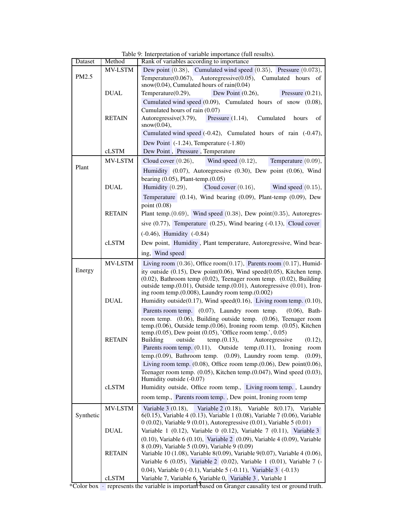<span id="page-14-0"></span>

| Dataset   | Method         | Rank of variables according to importance                                                                                                              |
|-----------|----------------|--------------------------------------------------------------------------------------------------------------------------------------------------------|
|           | MV-LSTM        | Dew point $(0.38)$ , Cumulated wind speed $(0.35)$ , Pressure $(0.073)$ ,                                                                              |
| PM2.5     |                | Temperature $(0.067)$ , Autoregressive $(0.05)$ ,<br>Cumulated hours of                                                                                |
|           |                | $snow(0.04)$ , Cumulated hours of rain(0.04)                                                                                                           |
|           | <b>DUAL</b>    | Dew Point $(0.26)$ ,<br>Temperature(0.29),<br>Pressure $(0.21)$ ,                                                                                      |
|           |                | Cumulated wind speed (0.09), Cumulated hours of snow (0.08),                                                                                           |
|           |                | Cumulated hours of rain (0.07)                                                                                                                         |
|           | <b>RETAIN</b>  | Autoregressive(3.79),<br>Pressure $(1.14)$ ,<br>Cumulated<br>hours<br>οf<br>snow(0.04),                                                                |
|           |                | Cumulated wind speed (-0.42), Cumulated hours of rain (-0.47),                                                                                         |
|           |                | Dew Point $(-1.24)$ , Temperature $(-1.80)$                                                                                                            |
|           | cLSTM          | Dew Point, Pressure, Temperature                                                                                                                       |
|           | <b>MV-LSTM</b> | Temperature $(0.09)$ ,<br>Cloud cover $(0.26)$ ,<br>Wind speed $(0.12)$ ,                                                                              |
| Plant     |                | Humidity (0.07), Autoregressive (0.30), Dew point (0.06), Wind                                                                                         |
|           |                | bearing $(0.05)$ , Plant-temp. $(0.05)$                                                                                                                |
|           | <b>DUAL</b>    | Cloud cover $(0.16)$ ,<br>Humidity $(0.29)$ ,<br>Wind speed $(0.15)$ ,                                                                                 |
|           |                | Temperature $(0.14)$ , Wind bearing $(0.09)$ , Plant-temp $(0.09)$ , Dew                                                                               |
|           |                | point $(0.08)$                                                                                                                                         |
|           | <b>RETAIN</b>  | Plant temp. $(0.69)$ , Wind speed $(0.38)$ , Dew point $(0.35)$ , Autoregres-                                                                          |
|           |                | sive $(0.77)$ , Temperature $(0.25)$ , Wind bearing $(-0.13)$ , Cloud cover                                                                            |
|           |                | $(-0.46)$ , Humidity $(-0.84)$                                                                                                                         |
|           | cLSTM          | Dew point, Humidity, Plant temperature, Autoregressive, Wind bear-                                                                                     |
|           |                | ing, Wind speed                                                                                                                                        |
|           | MV-LSTM        | Living room $(0.36)$ , Office room $(0.17)$ , Parents room $(0.17)$ , Humid-                                                                           |
| Energy    |                | ity outside $(0.15)$ , Dew point $(0.06)$ , Wind speed $(0.05)$ , Kitchen temp.                                                                        |
|           |                | $(0.02)$ , Bathroom temp $(0.02)$ , Teenager room temp. $(0.02)$ , Building                                                                            |
|           |                | outside temp.(0.01), Outside temp.(0.01), Autoregressive (0.01), Iron-                                                                                 |
|           |                | ing room temp. $(0.008)$ , Laundry room temp. $(0.002)$                                                                                                |
|           | <b>DUAL</b>    | Humidity outside( $0.17$ ), Wind speed( $0.16$ ), Living room temp. $(0.10)$ ,                                                                         |
|           |                | Parents room temp. $(0.07)$ , Laundry room temp.<br>$(0.06)$ , Bath-                                                                                   |
|           |                | room temp. $(0.06)$ , Building outside temp. $(0.06)$ , Teenager room                                                                                  |
|           |                | temp. $(0.06)$ , Outside temp. $(0.06)$ , Ironing room temp. $(0.05)$ , Kitchen<br>temp. $(0.05)$ , Dew point $(0.05)$ , 'Office room temp.', $0.05$ ) |
|           | <b>RETAIN</b>  | outside<br>Autoregressive<br>Building<br>temp.(0.13),<br>(0.12),                                                                                       |
|           |                | Parents room temp. $(0.11)$ , Outside temp. $(0.11)$ , Ironing room                                                                                    |
|           |                | temp. $(0.09)$ , Bathroom temp. $(0.09)$ , Laundry room temp. $(0.09)$ ,                                                                               |
|           |                | Living room temp. $(0.08)$ , Office room temp. $(0.06)$ , Dew point $(0.06)$ ,                                                                         |
|           |                | Teenager room temp. (0.05), Kitchen temp. (0.047), Wind speed (0.03),                                                                                  |
|           |                | Humidity outside (-0.07)                                                                                                                               |
|           | cLSTM          | Humidity outside, Office room temp., Living room temp., Laundry                                                                                        |
|           |                | room temp., Parents room temp., Dew point, Ironing room temp                                                                                           |
|           | MV-LSTM        | Variable $3(0.18)$ ,<br>Variable $2(0.18)$ , Variable $8(0.17)$ , Variable                                                                             |
| Synthetic |                | 6(0.15), Variable 4 (0.13), Variable 1 (0.08), Variable 7 (0.06), Variable                                                                             |
|           |                | $0(0.02)$ , Variable 9 (0.01), Autoregressive (0.01), Variable 5 (0.01)                                                                                |
|           | <b>DUAL</b>    | Variable 1 $(0.12)$ , Variable 0 $(0.12)$ , Variable 7 $(0.11)$ , Variable 3                                                                           |
|           |                | $(0.10)$ , Variable 6 $(0.10)$ , Variable 2 $(0.09)$ , Variable 4 $(0.09)$ , Variable                                                                  |
|           | <b>RETAIN</b>  | 8 (0.09), Variable 5 (0.09), Variable 9 (0.09)<br>Variable 10 (1.08), Variable 8(0.09), Variable 9(0.07), Variable 4 (0.06),                           |
|           |                | Variable 6 $(0.05)$ , Variable 2 $(0.02)$ , Variable 1 $(0.01)$ , Variable 7 $(-$                                                                      |
|           |                | 0.04), Variable $0(-0.1)$ , Variable $5(-0.11)$ , Variable $3(-0.13)$                                                                                  |
|           | cLSTM          | Variable 7, Variable 6, Variable 0, Variable 3, Variable 1                                                                                             |
|           |                |                                                                                                                                                        |

Table 9: Interpretation of variable importance (full results).

\*Color box · represents the variable is important based on Granger causality test or ground truth. 15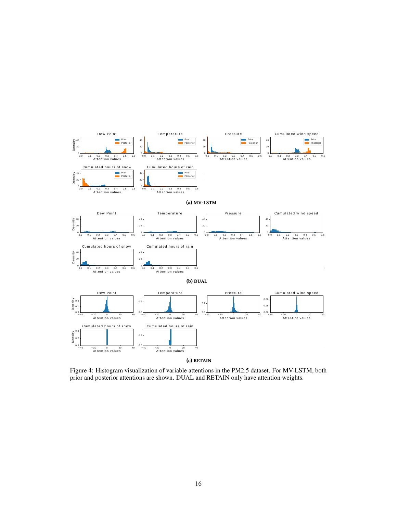<span id="page-15-0"></span>

Figure 4: Histogram visualization of variable attentions in the PM2.5 dataset. For MV-LSTM, both prior and posterior attentions are shown. DUAL and RETAIN only have attention weights.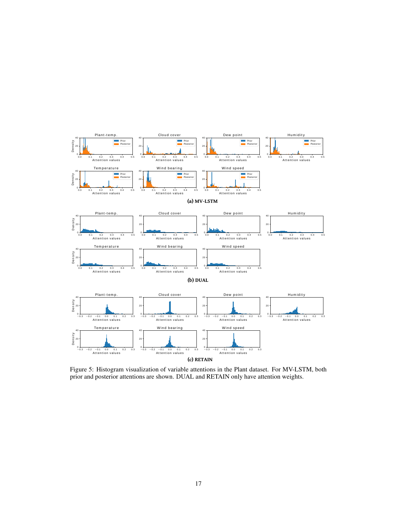

Figure 5: Histogram visualization of variable attentions in the Plant dataset. For MV-LSTM, both prior and posterior attentions are shown. DUAL and RETAIN only have attention weights.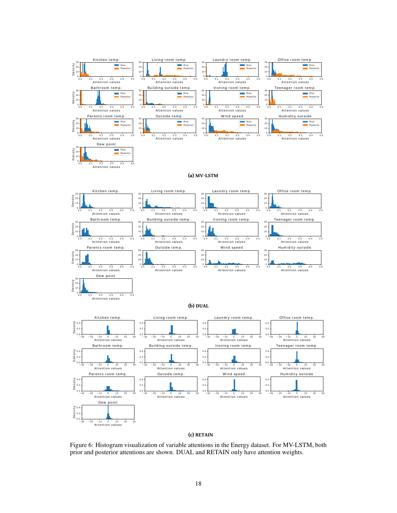![](_page_17_Figure_0.jpeg)

## **(c) RETAIN**

Figure 6: Histogram visualization of variable attentions in the Energy dataset. For MV-LSTM, both prior and posterior attentions are shown. DUAL and RETAIN only have attention weights.